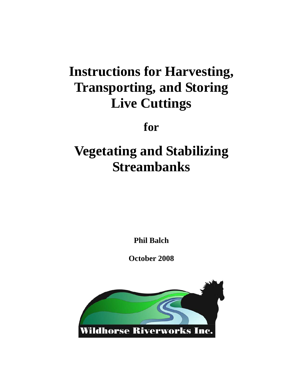# **Instructions for Harvesting, Transporting, and Storing Live Cuttings**

**for** 

# **Vegetating and Stabilizing Streambanks**

**Phil Balch** 

**October 2008** 

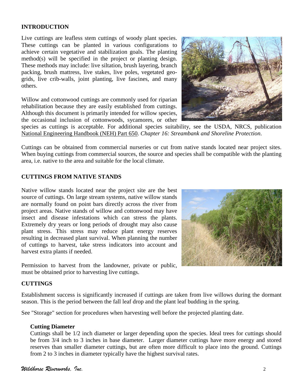## **INTRODUCTION**

Live cuttings are leafless stem cuttings of woody plant species. These cuttings can be planted in various configurations to achieve certain vegetative and stabilization goals. The planting method(s) will be specified in the project or planting design. These methods may include: live siltation, brush layering, branch packing, brush mattress, live stakes, live poles, vegetated geogrids, live crib-walls, joint planting, live fascines, and many others.

Willow and cottonwood cuttings are commonly used for riparian rehabilitation because they are easily established from cuttings. Although this document is primarily intended for willow species, the occasional inclusion of cottonwoods, sycamores, or other



species as cuttings is acceptable. For additional species suitability, see the USDA, NRCS, publication National Engineering Handbook (NEH) Part 650. *Chapter 16: Streambank and Shoreline Protection*.

Cuttings can be obtained from commercial nurseries or cut from native stands located near project sites. When buying cuttings from commercial sources, the source and species shall be compatible with the planting area, i.e. native to the area and suitable for the local climate.

#### **CUTTINGS FROM NATIVE STANDS**

Native willow stands located near the project site are the best source of cuttings. On large stream systems, native willow stands are normally found on point bars directly across the river from project areas. Native stands of willow and cottonwood may have insect and disease infestations which can stress the plants. Extremely dry years or long periods of drought may also cause plant stress. This stress may reduce plant energy reserves resulting in decreased plant survival. When planning the number of cuttings to harvest, take stress indicators into account and harvest extra plants if needed.

Permission to harvest from the landowner, private or public, must be obtained prior to harvesting live cuttings.

## **CUTTINGS**

Establishment success is significantly increased if cuttings are taken from live willows during the dormant season. This is the period between the fall leaf drop and the plant leaf budding in the spring.

See "Storage" section for procedures when harvesting well before the projected planting date.

#### **Cutting Diameter**

Cuttings shall be 1/2 inch diameter or larger depending upon the species. Ideal trees for cuttings should be from 3/4 inch to 3 inches in base diameter. Larger diameter cuttings have more energy and stored reserves than smaller diameter cuttings, but are often more difficult to place into the ground. Cuttings from 2 to 3 inches in diameter typically have the highest survival rates.

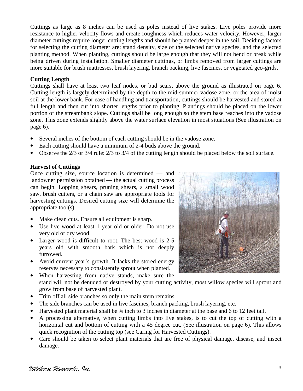Cuttings as large as 8 inches can be used as poles instead of live stakes. Live poles provide more resistance to higher velocity flows and create roughness which reduces water velocity. However, larger diameter cuttings require longer cutting lengths and should be planted deeper in the soil. Deciding factors for selecting the cutting diameter are: stand density, size of the selected native species, and the selected planting method. When planting, cuttings should be large enough that they will not bend or break while being driven during installation. Smaller diameter cuttings, or limbs removed from larger cuttings are more suitable for brush mattresses, brush layering, branch packing, live fascines, or vegetated geo-grids.

## **Cutting Length**

Cuttings shall have at least two leaf nodes, or bud scars, above the ground as illustrated on page 6. Cutting length is largely determined by the depth to the mid-summer vadose zone, or the area of moist soil at the lower bank. For ease of handling and transportation, cuttings should be harvested and stored at full length and then cut into shorter lengths prior to planting. Plantings should be placed on the lower portion of the streambank slope. Cuttings shall be long enough so the stem base reaches into the vadose zone. This zone extends slightly above the water surface elevation in most situations (See illustration on page 6).

- Several inches of the bottom of each cutting should be in the vadose zone.
- Each cutting should have a minimum of 2-4 buds above the ground.
- Observe the 2/3 or 3/4 rule: 2/3 to 3/4 of the cutting length should be placed below the soil surface.

## **Harvest of Cuttings**

Once cutting size, source location is determined — and landowner permission obtained — the actual cutting process can begin. Lopping shears, pruning shears, a small wood saw, brush cutters, or a chain saw are appropriate tools for harvesting cuttings. Desired cutting size will determine the appropriate tool(s).

- Make clean cuts. Ensure all equipment is sharp.
- Use live wood at least 1 year old or older. Do not use very old or dry wood.
- Larger wood is difficult to root. The best wood is 2-5 years old with smooth bark which is not deeply furrowed.
- Avoid current year's growth. It lacks the stored energy reserves necessary to consistently sprout when planted.
- When harvesting from native stands, make sure the stand will not be denuded or destroyed by your cutting activity, most willow species will sprout and grow from base of harvested plant.
- Trim off all side branches so only the main stem remains.
- The side branches can be used in live fascines, branch packing, brush layering, etc.
- Harvested plant material shall be  $\frac{3}{4}$  inch to 3 inches in diameter at the base and 6 to 12 feet tall.
- A processing alternative, when cutting limbs into live stakes, is to cut the top of cutting with a horizontal cut and bottom of cutting with a 45 degree cut, (See illustration on page 6). This allows quick recognition of the cutting top (see Caring for Harvested Cuttings).
- Care should be taken to select plant materials that are free of physical damage, disease, and insect damage.

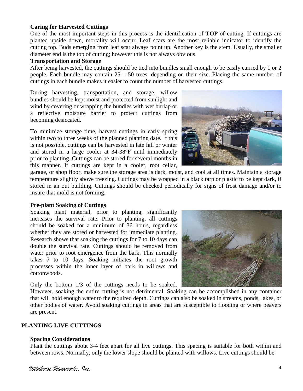## **Caring for Harvested Cuttings**

One of the most important steps in this process is the identification of **TOP** of cutting. If cuttings are planted upside down, mortality will occur. Leaf scars are the most reliable indicator to identify the cutting top. Buds emerging from leaf scar always point up. Another key is the stem. Usually, the smaller diameter end is the top of cutting; however this is not always obvious.

#### **Transportation and Storage**

After being harvested, the cuttings should be tied into bundles small enough to be easily carried by 1 or 2 people. Each bundle may contain  $25 - 50$  trees, depending on their size. Placing the same number of cuttings in each bundle makes it easier to count the number of harvested cuttings.

During harvesting, transportation, and storage, willow bundles should be kept moist and protected from sunlight and wind by covering or wrapping the bundles with wet burlap or a reflective moisture barrier to protect cuttings from becoming desiccated.

To minimize storage time, harvest cuttings in early spring within two to three weeks of the planned planting date. If this is not possible, cuttings can be harvested in late fall or winter and stored in a large cooler at 34-38°F until immediately prior to planting. Cuttings can be stored for several months in this manner. If cuttings are kept in a cooler, root cellar,



garage, or shop floor, make sure the storage area is dark, moist, and cool at all times. Maintain a storage temperature slightly above freezing. Cuttings may be wrapped in a black tarp or plastic to be kept dark, if stored in an out building. Cuttings should be checked periodically for signs of frost damage and/or to insure that mold is not forming.

## **Pre-plant Soaking of Cuttings**

Soaking plant material, prior to planting, significantly increases the survival rate. Prior to planting, all cuttings should be soaked for a minimum of 36 hours, regardless whether they are stored or harvested for immediate planting. Research shows that soaking the cuttings for 7 to 10 days can double the survival rate. Cuttings should be removed from water prior to root emergence from the bark. This normally takes 7 to 10 days. Soaking initiates the root growth processes within the inner layer of bark in willows and cottonwoods.

Only the bottom 1/3 of the cuttings needs to be soaked.

However, soaking the entire cutting is not detrimental. Soaking can be accomplished in any container that will hold enough water to the required depth. Cuttings can also be soaked in streams, ponds, lakes, or other bodies of water. Avoid soaking cuttings in areas that are susceptible to flooding or where beavers are present.

## **PLANTING LIVE CUTTINGS**

## **Spacing Considerations**

Plant the cuttings about 3-4 feet apart for all live cuttings. This spacing is suitable for both within and between rows. Normally, only the lower slope should be planted with willows. Live cuttings should be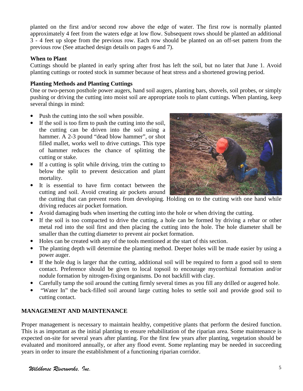planted on the first and/or second row above the edge of water. The first row is normally planted approximately 4 feet from the waters edge at low flow. Subsequent rows should be planted an additional 3 - 4 feet up slope from the previous row. Each row should be planted on an off-set pattern from the previous row (See attached design details on pages 6 and 7).

# **When to Plant**

Cuttings should be planted in early spring after frost has left the soil, but no later that June 1. Avoid planting cuttings or rooted stock in summer because of heat stress and a shortened growing period.

# **Planting Methods and Planting Cuttings**

One or two-person posthole power augers, hand soil augers, planting bars, shovels, soil probes, or simply pushing or driving the cutting into moist soil are appropriate tools to plant cuttings. When planting, keep several things in mind:

- Push the cutting into the soil when possible.
- If the soil is too firm to push the cutting into the soil, the cutting can be driven into the soil using a hammer. A 2-3 pound "dead blow hammer", or shot filled mallet, works well to drive cuttings. This type of hammer reduces the chance of splitting the cutting or stake.
- If a cutting is split while driving, trim the cutting to below the split to prevent desiccation and plant mortality.



- It is essential to have firm contact between the cutting and soil. Avoid creating air pockets around the cutting that can prevent roots from developing. Holding on to the cutting with one hand while driving reduces air pocket formation.
- Avoid damaging buds when inserting the cutting into the hole or when driving the cutting.
- If the soil is too compacted to drive the cutting, a hole can be formed by driving a rebar or other metal rod into the soil first and then placing the cutting into the hole. The hole diameter shall be smaller than the cutting diameter to prevent air pocket formation.
- Holes can be created with any of the tools mentioned at the start of this section.
- The planting depth will determine the planting method. Deeper holes will be made easier by using a power auger.
- If the hole dug is larger that the cutting, additional soil will be required to form a good soil to stem contact. Preference should be given to local topsoil to encourage mycorrhizal formation and/or nodule formation by nitrogen-fixing organisms. Do not backfill with clay.
- Carefully tamp the soil around the cutting firmly several times as you fill any drilled or augered hole.
- "Water In" the back-filled soil around large cutting holes to settle soil and provide good soil to cutting contact.

# **MANAGEMENT AND MAINTENANCE**

Proper management is necessary to maintain healthy, competitive plants that perform the desired function. This is as important as the initial planting to ensure rehabilitation of the riparian area. Some maintenance is expected on-site for several years after planting. For the first few years after planting, vegetation should be evaluated and monitored annually, or after any flood event. Some replanting may be needed in succeeding years in order to insure the establishment of a functioning riparian corridor.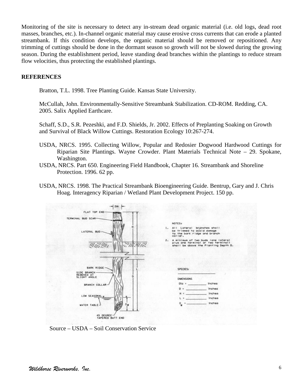Monitoring of the site is necessary to detect any in-stream dead organic material (i.e. old logs, dead root masses, branches, etc.). In-channel organic material may cause erosive cross currents that can erode a planted streambank. If this condition develops, the organic material should be removed or repositioned. Any trimming of cuttings should be done in the dormant season so growth will not be slowed during the growing season. During the establishment period, leave standing dead branches within the plantings to reduce stream flow velocities, thus protecting the established plantings.

#### **REFERENCES**

Bratton, T.L. 1998. Tree Planting Guide. Kansas State University.

McCullah, John. Environmentally-Sensitive Streambank Stabilization. CD-ROM. Redding, CA. 2005. Salix Applied Earthcare.

Schaff, S.D., S.R. Pezeshki, and F.D. Shields, Jr. 2002. Effects of Preplanting Soaking on Growth and Survival of Black Willow Cuttings. Restoration Ecology 10:267-274.

- USDA, NRCS. 1995. Collecting Willow, Popular and Redosier Dogwood Hardwood Cuttings for Riparian Site Plantings. Wayne Crowder. Plant Materials Technical Note – 29. Spokane, Washington.
- USDA, NRCS. Part 650. Engineering Field Handbook, Chapter 16. Streambank and Shoreline Protection. 1996. 62 pp.
- USDA, NRCS. 1998. The Practical Streambank Bioengineering Guide. Bentrup, Gary and J. Chris Hoag. Interagency Riparian / Wetland Plant Development Project. 150 pp.



Source – USDA – Soil Conservation Service